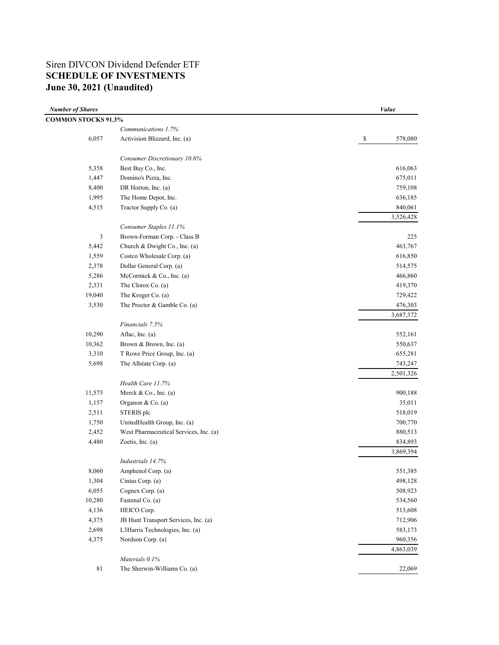## Siren DIVCON Dividend Defender ETF **SCHEDULE OF INVESTMENTS June 30, 2021 (Unaudited)**

| <b>Number of Shares</b>    |                                        | <i>Value</i>                         |
|----------------------------|----------------------------------------|--------------------------------------|
| <b>COMMON STOCKS 91.3%</b> |                                        |                                      |
|                            | Communications 1.7%                    |                                      |
| 6,057                      | Activision Blizzard, Inc. (a)          | 578,080<br>$\boldsymbol{\mathsf{S}}$ |
|                            | Consumer Discretionary 10.6%           |                                      |
| 5,358                      | Best Buy Co., Inc.                     | 616,063                              |
| 1,447                      | Domino's Pizza, Inc.                   | 675,011                              |
| 8,400                      | DR Horton, Inc. (a)                    | 759,108                              |
| 1,995                      | The Home Depot, Inc.                   | 636,185                              |
| 4,515                      | Tractor Supply Co. (a)                 | 840,061                              |
|                            |                                        | 3,526,428                            |
|                            | Consumer Staples 11.1%                 |                                      |
| 3                          | Brown-Forman Corp. - Class B           | 225                                  |
| 5,442                      | Church & Dwight Co., Inc. (a)          | 463,767                              |
| 1,559                      | Costco Wholesale Corp. (a)             | 616,850                              |
| 2,378                      | Dollar General Corp. (a)               | 514,575                              |
| 5,286                      | McCormick & Co., Inc. (a)              | 466,860                              |
| 2,331                      | The Clorox Co. (a)                     | 419,370                              |
| 19,040                     | The Kroger Co. (a)                     | 729,422                              |
| 3,530                      | The Procter & Gamble Co. (a)           | 476,303                              |
|                            |                                        | 3,687,372                            |
|                            | Financials 7.5%                        |                                      |
| 10,290                     | Aflac, Inc. (a)                        | 552,161                              |
| 10,362                     | Brown & Brown, Inc. (a)                | 550,637                              |
| 3,310                      | T Rowe Price Group, Inc. (a)           | 655,281                              |
| 5,698                      | The Allstate Corp. (a)                 | 743,247                              |
|                            |                                        | 2,501,326                            |
|                            | Health Care 11.7%                      |                                      |
| 11,575                     | Merck & Co., Inc. (a)                  | 900,188                              |
| 1,157                      | Organon & Co. (a)                      | 35,011                               |
| 2,511                      | STERIS plc                             | 518,019                              |
| 1,750                      | UnitedHealth Group, Inc. (a)           | 700,770                              |
| 2,452                      | West Pharmaceutical Services, Inc. (a) | 880,513                              |
| 4,480                      | Zoetis, Inc. (a)                       | 834,893                              |
|                            |                                        | 3,869,394                            |
|                            | Industrials 14.7%                      |                                      |
| 8,060                      | Amphenol Corp. (a)                     | 551,385                              |
| 1,304                      | Cintas Corp. (a)                       | 498,128                              |
| 6,055                      | Cognex Corp. (a)                       | 508,923                              |
| 10,280                     | Fastenal Co. (a)                       | 534,560                              |
| 4,136                      | HEICO Corp.                            | 513,608                              |
| 4,375                      | JB Hunt Transport Services, Inc. (a)   | 712,906                              |
| 2,698                      | L3Harris Technologies, Inc. (a)        | 583,173                              |
| 4,375                      | Nordson Corp. (a)                      | 960,356                              |
|                            |                                        | 4,863,039                            |
|                            | Materials 0.1%                         |                                      |
| $8\sqrt{1}$                | The Sherwin-Williams Co. (a)           | 22,069                               |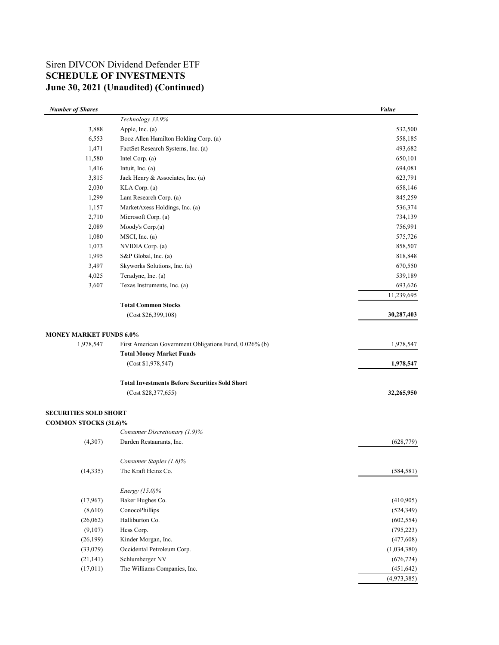# Siren DIVCON Dividend Defender ETF **SCHEDULE OF INVESTMENTS June 30, 2021 (Unaudited) (Continued)**

| <b>Number of Shares</b>        |                                                        | Value       |
|--------------------------------|--------------------------------------------------------|-------------|
|                                | Technology 33.9%                                       |             |
| 3,888                          | Apple, Inc. (a)                                        | 532,500     |
| 6,553                          | Booz Allen Hamilton Holding Corp. (a)                  | 558,185     |
| 1,471                          | FactSet Research Systems, Inc. (a)                     | 493,682     |
| 11,580                         | Intel Corp. (a)                                        | 650,101     |
| 1,416                          | Intuit, Inc. (a)                                       | 694,081     |
| 3,815                          | Jack Henry & Associates, Inc. (a)                      | 623,791     |
| 2,030                          | KLA Corp. (a)                                          | 658,146     |
| 1,299                          | Lam Research Corp. (a)                                 | 845,259     |
| 1,157                          | MarketAxess Holdings, Inc. (a)                         | 536,374     |
| 2,710                          | Microsoft Corp. (a)                                    | 734,139     |
| 2,089                          | Moody's Corp.(a)                                       | 756,991     |
| 1,080                          | MSCI, Inc. (a)                                         | 575,726     |
| 1,073                          | NVIDIA Corp. (a)                                       | 858,507     |
| 1,995                          | S&P Global, Inc. (a)                                   | 818,848     |
| 3,497                          | Skyworks Solutions, Inc. (a)                           | 670,550     |
| 4,025                          | Teradyne, Inc. (a)                                     | 539,189     |
| 3,607                          | Texas Instruments, Inc. (a)                            | 693,626     |
|                                |                                                        | 11,239,695  |
|                                | <b>Total Common Stocks</b>                             |             |
|                                | (Cost \$26,399,108)                                    | 30,287,403  |
| <b>MONEY MARKET FUNDS 6.0%</b> |                                                        |             |
| 1,978,547                      | First American Government Obligations Fund, 0.026% (b) | 1,978,547   |
|                                | <b>Total Money Market Funds</b>                        |             |
|                                | (Cost \$1,978,547)                                     | 1,978,547   |
|                                | <b>Total Investments Before Securities Sold Short</b>  |             |
|                                | (Cost \$28,377,655)                                    | 32,265,950  |
| <b>SECURITIES SOLD SHORT</b>   |                                                        |             |
| <b>COMMON STOCKS (31.6)%</b>   |                                                        |             |
|                                | Consumer Discretionary (1.9)%                          |             |
| (4,307)                        | Darden Restaurants, Inc.                               | (628, 779)  |
|                                | Consumer Staples (1.8)%                                |             |
| (14, 335)                      | The Kraft Heinz Co.                                    | (584, 581)  |
|                                |                                                        |             |
|                                | Energy (15.0)%                                         |             |
| (17,967)                       | Baker Hughes Co.                                       | (410,905)   |
| (8,610)                        | ConocoPhillips                                         | (524, 349)  |
| (26,062)                       | Halliburton Co.                                        | (602, 554)  |
| (9,107)                        | Hess Corp.                                             | (795, 223)  |
| (26, 199)                      | Kinder Morgan, Inc.                                    | (477,608)   |
| (33,079)                       | Occidental Petroleum Corp.                             | (1,034,380) |
| (21, 141)                      | Schlumberger NV                                        | (676, 724)  |
| (17,011)                       | The Williams Companies, Inc.                           | (451, 642)  |
|                                |                                                        | (4,973,385) |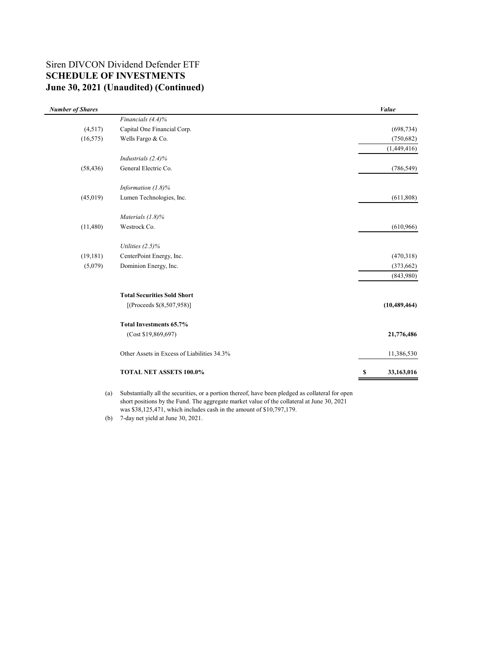## **June 30, 2021 (Unaudited) (Continued)** Siren DIVCON Dividend Defender ETF **SCHEDULE OF INVESTMENTS**

| <b>Number of Shares</b> |                                             | Value            |
|-------------------------|---------------------------------------------|------------------|
|                         | Financials (4.4)%                           |                  |
| (4,517)                 | Capital One Financial Corp.                 | (698, 734)       |
| (16, 575)               | Wells Fargo & Co.                           | (750, 682)       |
|                         |                                             | (1,449,416)      |
|                         | Industrials (2.4)%                          |                  |
| (58, 436)               | General Electric Co.                        | (786, 549)       |
|                         | Information $(1.8)\%$                       |                  |
| (45,019)                | Lumen Technologies, Inc.                    | (611, 808)       |
|                         | Materials $(1.8)$ %                         |                  |
| (11,480)                | Westrock Co.                                | (610, 966)       |
|                         | Utilities $(2.5)\%$                         |                  |
| (19, 181)               | CenterPoint Energy, Inc.                    | (470,318)        |
| (5,079)                 | Dominion Energy, Inc.                       | (373, 662)       |
|                         |                                             | (843,980)        |
|                         | <b>Total Securities Sold Short</b>          |                  |
|                         | [(Proceeds $$(8,507,958)]$ ]                | (10, 489, 464)   |
|                         | Total Investments 65.7%                     |                  |
|                         | (Cost \$19,869,697)                         | 21,776,486       |
|                         | Other Assets in Excess of Liabilities 34.3% | 11,386,530       |
|                         | TOTAL NET ASSETS 100.0%                     | 33,163,016<br>\$ |

(a) Substantially all the securities, or a portion thereof, have been pledged as collateral for open short positions by the Fund. The aggregate market value of the collateral at June 30, 2021 was \$38,125,471, which includes cash in the amount of \$10,797,179.

(b) 7-day net yield at June 30, 2021.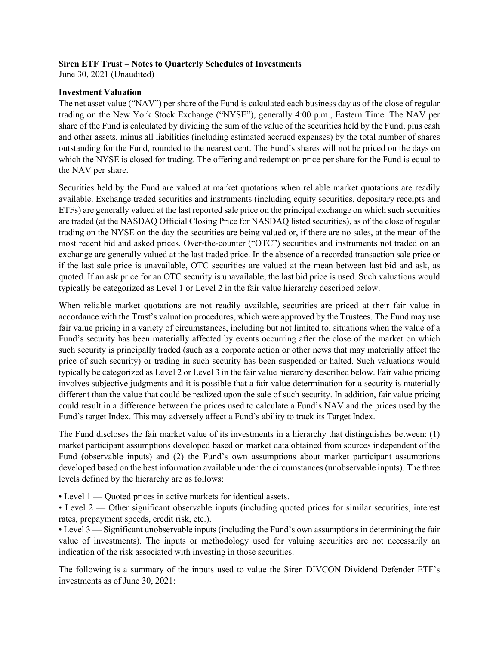#### **Siren ETF Trust – Notes to Quarterly Schedules of Investments** June 30, 2021 (Unaudited)

### **Investment Valuation**

The net asset value ("NAV") per share of the Fund is calculated each business day as of the close of regular trading on the New York Stock Exchange ("NYSE"), generally 4:00 p.m., Eastern Time. The NAV per share of the Fund is calculated by dividing the sum of the value of the securities held by the Fund, plus cash and other assets, minus all liabilities (including estimated accrued expenses) by the total number of shares outstanding for the Fund, rounded to the nearest cent. The Fund's shares will not be priced on the days on which the NYSE is closed for trading. The offering and redemption price per share for the Fund is equal to the NAV per share.

Securities held by the Fund are valued at market quotations when reliable market quotations are readily available. Exchange traded securities and instruments (including equity securities, depositary receipts and ETFs) are generally valued at the last reported sale price on the principal exchange on which such securities are traded (at the NASDAQ Official Closing Price for NASDAQ listed securities), as of the close of regular trading on the NYSE on the day the securities are being valued or, if there are no sales, at the mean of the most recent bid and asked prices. Over-the-counter ("OTC") securities and instruments not traded on an exchange are generally valued at the last traded price. In the absence of a recorded transaction sale price or if the last sale price is unavailable, OTC securities are valued at the mean between last bid and ask, as quoted. If an ask price for an OTC security is unavailable, the last bid price is used. Such valuations would typically be categorized as Level 1 or Level 2 in the fair value hierarchy described below.

When reliable market quotations are not readily available, securities are priced at their fair value in accordance with the Trust's valuation procedures, which were approved by the Trustees. The Fund may use fair value pricing in a variety of circumstances, including but not limited to, situations when the value of a Fund's security has been materially affected by events occurring after the close of the market on which such security is principally traded (such as a corporate action or other news that may materially affect the price of such security) or trading in such security has been suspended or halted. Such valuations would typically be categorized as Level 2 or Level 3 in the fair value hierarchy described below. Fair value pricing involves subjective judgments and it is possible that a fair value determination for a security is materially different than the value that could be realized upon the sale of such security. In addition, fair value pricing could result in a difference between the prices used to calculate a Fund's NAV and the prices used by the Fund's target Index. This may adversely affect a Fund's ability to track its Target Index.

The Fund discloses the fair market value of its investments in a hierarchy that distinguishes between: (1) market participant assumptions developed based on market data obtained from sources independent of the Fund (observable inputs) and (2) the Fund's own assumptions about market participant assumptions developed based on the best information available under the circumstances (unobservable inputs). The three levels defined by the hierarchy are as follows:

• Level 1 — Quoted prices in active markets for identical assets.

• Level 2 — Other significant observable inputs (including quoted prices for similar securities, interest rates, prepayment speeds, credit risk, etc.).

• Level 3 — Significant unobservable inputs (including the Fund's own assumptions in determining the fair value of investments). The inputs or methodology used for valuing securities are not necessarily an indication of the risk associated with investing in those securities.

The following is a summary of the inputs used to value the Siren DIVCON Dividend Defender ETF's investments as of June 30, 2021: